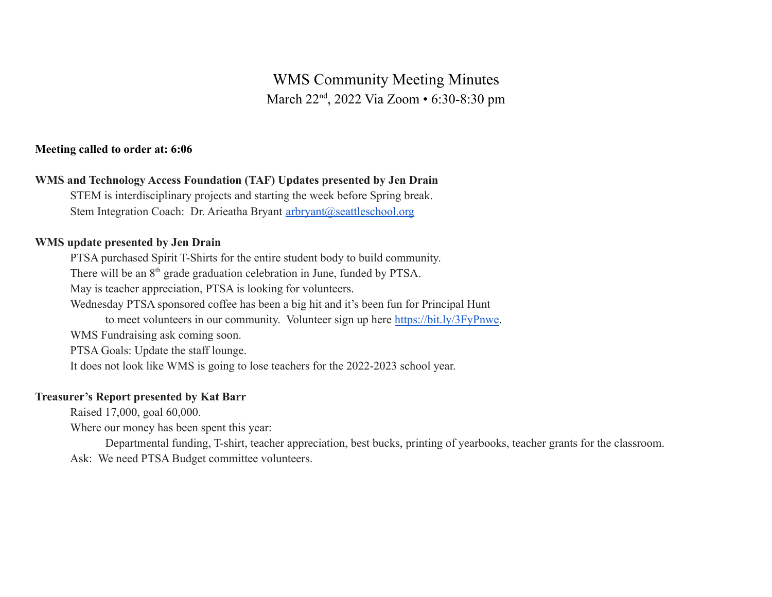# WMS Community Meeting Minutes March 22<sup>nd</sup>, 2022 Via Zoom • 6:30-8:30 pm

# **Meeting called to order at: 6:06**

# **WMS and Technology Access Foundation (TAF) Updates presented by Jen Drain**

STEM is interdisciplinary projects and starting the week before Spring break. Stem Integration Coach: Dr. Arieatha Bryant [arbryant@seattleschool.org](mailto:arbryant@seattleschool.org)

#### **WMS update presented by Jen Drain**

PTSA purchased Spirit T-Shirts for the entire student body to build community.

There will be an 8<sup>th</sup> grade graduation celebration in June, funded by PTSA.

May is teacher appreciation, PTSA is looking for volunteers.

Wednesday PTSA sponsored coffee has been a big hit and it's been fun for Principal Hunt

to meet volunteers in our community. Volunteer sign up here [https://bit.ly/3FyPnwe.](https://bit.ly/3FyPnwe)

WMS Fundraising ask coming soon.

PTSA Goals: Update the staff lounge.

It does not look like WMS is going to lose teachers for the 2022-2023 school year.

# **Treasurer's Report presented by Kat Barr**

Raised 17,000, goal 60,000.

Where our money has been spent this year:

Departmental funding, T-shirt, teacher appreciation, best bucks, printing of yearbooks, teacher grants for the classroom. Ask: We need PTSA Budget committee volunteers.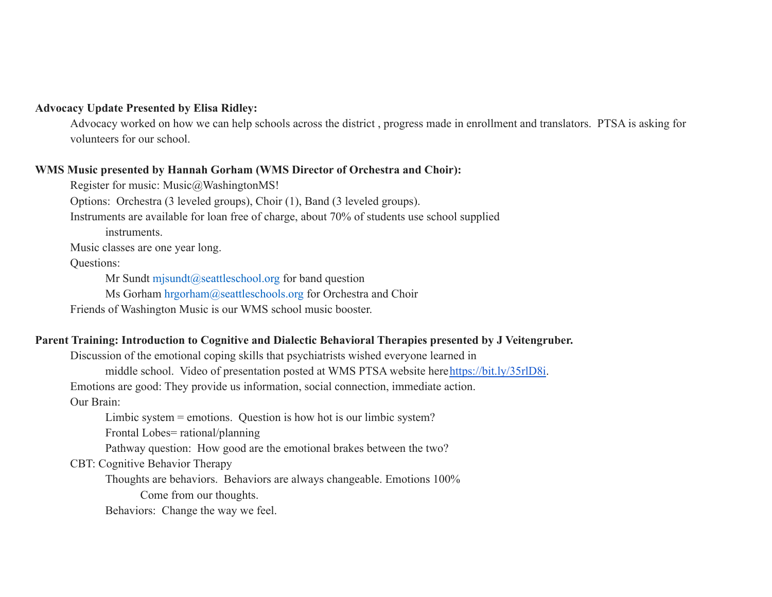#### **Advocacy Update Presented by Elisa Ridley:**

Advocacy worked on how we can help schools across the district , progress made in enrollment and translators. PTSA is asking for volunteers for our school.

#### **WMS Music presented by Hannah Gorham (WMS Director of Orchestra and Choir):**

Register for music: Music@WashingtonMS!

Options: Orchestra (3 leveled groups), Choir (1), Band (3 leveled groups).

Instruments are available for loan free of charge, about 70% of students use school supplied

instruments.

Music classes are one year long.

#### Questions:

Mr Sundt mjsundt@seattleschool.org for band question

Ms Gorham hrgorham@seattleschools.org for Orchestra and Choir

Friends of Washington Music is our WMS school music booster.

# **Parent Training: Introduction to Cognitive and Dialectic Behavioral Therapies presented by J Veitengruber.**

Discussion of the emotional coping skills that psychiatrists wished everyone learned in

middle school. Video of presentation posted at WMS PTSA website here<https://bit.ly/35rlD8i>.

Emotions are good: They provide us information, social connection, immediate action.

Our Brain:

Limbic system = emotions. Question is how hot is our limbic system?

Frontal Lobes= rational/planning

Pathway question: How good are the emotional brakes between the two?

CBT: Cognitive Behavior Therapy

Thoughts are behaviors. Behaviors are always changeable. Emotions 100%

Come from our thoughts.

Behaviors: Change the way we feel.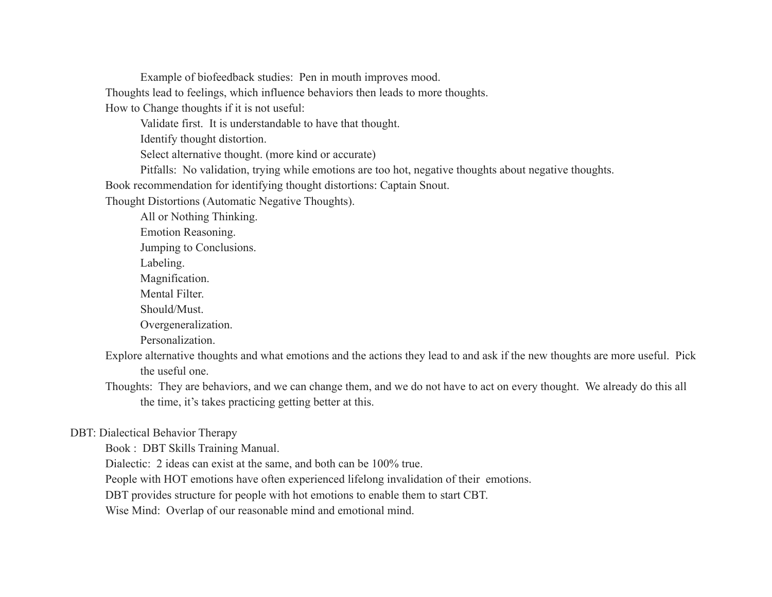Example of biofeedback studies: Pen in mouth improves mood.

Thoughts lead to feelings, which influence behaviors then leads to more thoughts.

How to Change thoughts if it is not useful:

Validate first. It is understandable to have that thought.

Identify thought distortion.

Select alternative thought. (more kind or accurate)

Pitfalls: No validation, trying while emotions are too hot, negative thoughts about negative thoughts.

Book recommendation for identifying thought distortions: Captain Snout.

Thought Distortions (Automatic Negative Thoughts).

All or Nothing Thinking.

Emotion Reasoning.

Jumping to Conclusions.

Labeling.

Magnification.

Mental Filter.

Should/Must.

Overgeneralization.

Personalization.

Explore alternative thoughts and what emotions and the actions they lead to and ask if the new thoughts are more useful. Pick the useful one.

Thoughts: They are behaviors, and we can change them, and we do not have to act on every thought. We already do this all the time, it's takes practicing getting better at this.

# DBT: Dialectical Behavior Therapy

Book : DBT Skills Training Manual.

Dialectic: 2 ideas can exist at the same, and both can be 100% true.

People with HOT emotions have often experienced lifelong invalidation of their emotions.

DBT provides structure for people with hot emotions to enable them to start CBT.

Wise Mind: Overlap of our reasonable mind and emotional mind.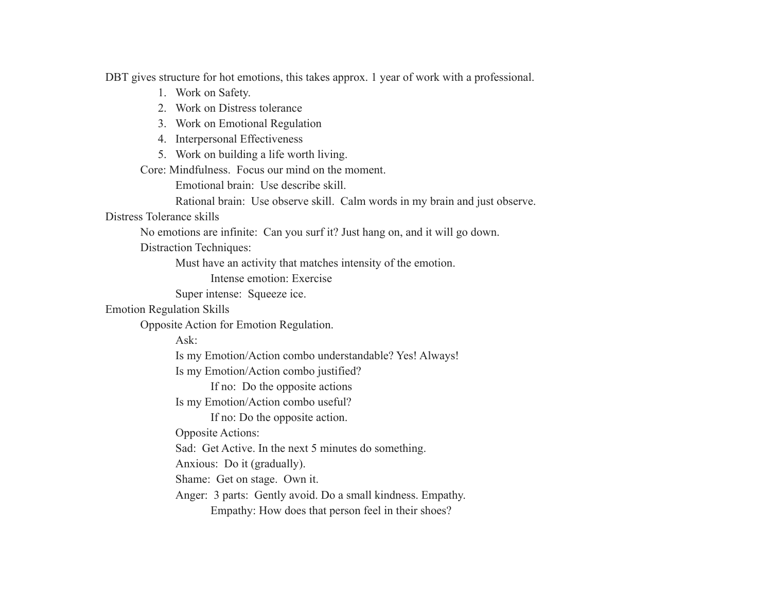DBT gives structure for hot emotions, this takes approx. 1 year of work with a professional.

- 1. Work on Safety.
- 2. Work on Distress tolerance
- 3. Work on Emotional Regulation
- 4. Interpersonal Effectiveness
- 5. Work on building a life worth living.

Core: Mindfulness. Focus our mind on the moment.

Emotional brain: Use describe skill.

Rational brain: Use observe skill. Calm words in my brain and just observe.

#### Distress Tolerance skills

No emotions are infinite: Can you surf it? Just hang on, and it will go down.

Distraction Techniques:

Must have an activity that matches intensity of the emotion.

Intense emotion: Exercise

Super intense: Squeeze ice.

# Emotion Regulation Skills

Opposite Action for Emotion Regulation.

Ask:

Is my Emotion/Action combo understandable? Yes! Always!

Is my Emotion/Action combo justified?

If no: Do the opposite actions

Is my Emotion/Action combo useful?

If no: Do the opposite action.

Opposite Actions:

Sad: Get Active. In the next 5 minutes do something.

Anxious: Do it (gradually).

Shame: Get on stage. Own it.

Anger: 3 parts: Gently avoid. Do a small kindness. Empathy.

Empathy: How does that person feel in their shoes?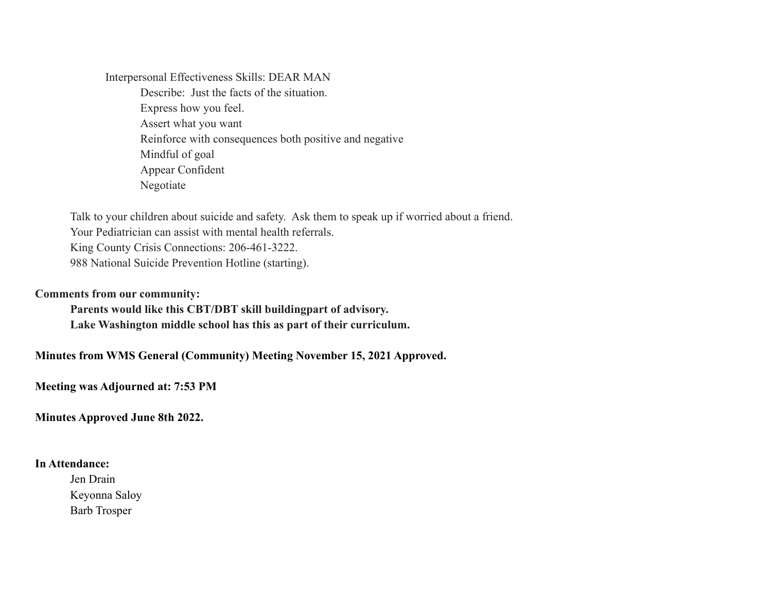Interpersonal Effectiveness Skills: DEAR MAN Describe: Just the facts of the situation. Express how you feel. Assert what you want Reinforce with consequences both positive and negative Mindful of goal Appear Confident Negotiate

Talk to your children about suicide and safety. Ask them to speak up if worried about a friend. Your Pediatrician can assist with mental health referrals. King County Crisis Connections: 206-461-3222. 988 National Suicide Prevention Hotline (starting).

#### **Comments from our community:**

**Parents would like this CBT/DBT skill buildingpart of advisory. Lake Washington middle school has this as part of their curriculum.**

**Minutes from WMS General (Community) Meeting November 15, 2021 Approved.**

**Meeting was Adjourned at: 7:53 PM**

**Minutes Approved June 8th 2022.**

# **In Attendance:**

Jen Drain Keyonna Saloy Barb Trosper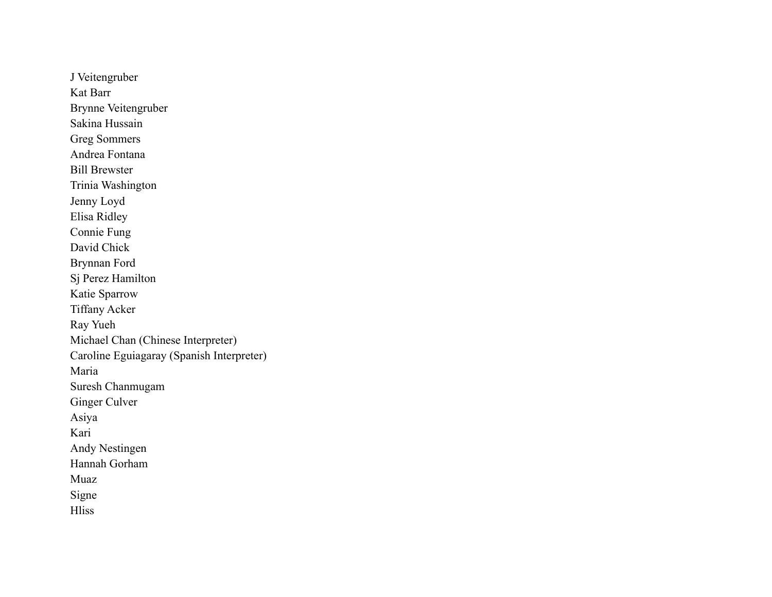J Veitengruber Kat Barr Brynne Veitengruber Sakina Hussain Greg Sommers Andrea Fontana Bill Brewster Trinia Washington Jenny Loyd Elisa Ridley Connie Fung David Chick Brynnan Ford Sj Perez Hamilton Katie Sparrow Tiffany Acker Ray Yueh Michael Chan (Chinese Interpreter) Caroline Eguiagaray (Spanish Interpreter) Maria Suresh Chanmugam Ginger Culver Asiya Kari Andy Nestingen Hannah Gorham Muaz Signe **Hliss**